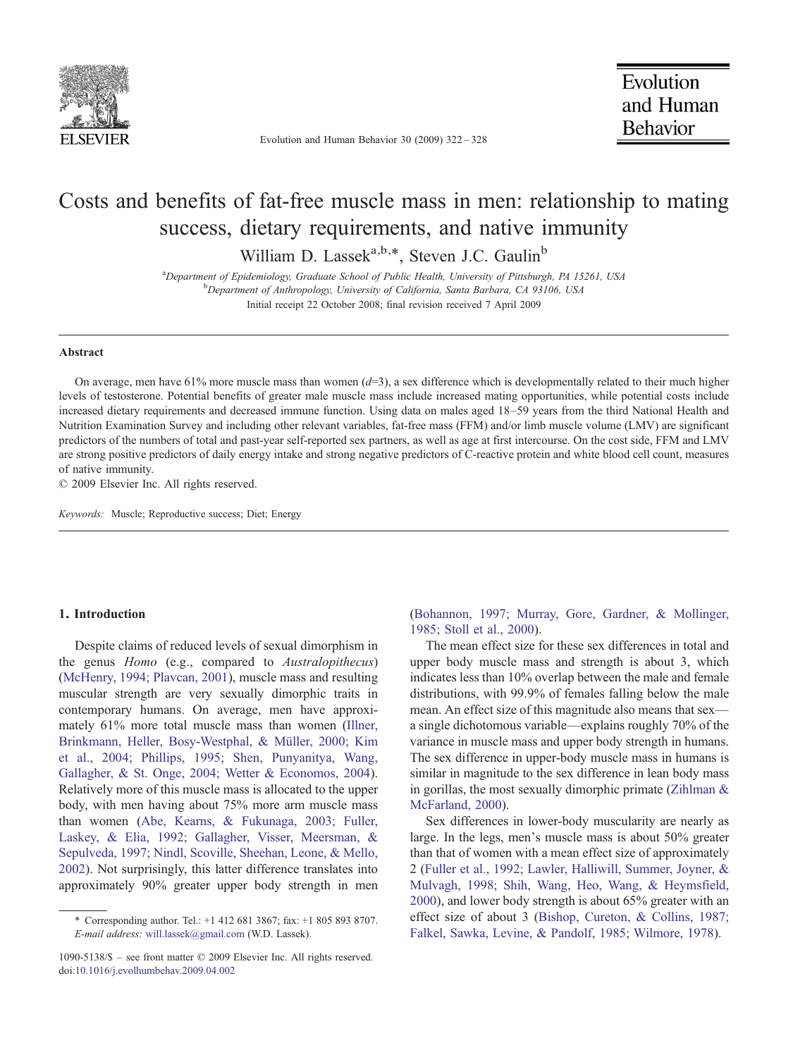

Evolution and Human Behavior 30 (2009) 322–328

# Costs and benefits of fat-free muscle mass in men: relationship to mating success, dietary requirements, and native immunity

William D. Lassek<sup>a,b,\*</sup>, Steven J.C. Gaulin<sup>b</sup>

<sup>a</sup>Department of Epidemiology, Graduate School of Public Health, University of Pittsburgh, PA 15261, USA by a background of Anthropology, University of California, Santa Barbara, CA 03106, USA Department of Anthropology, University of California, Santa Barbara, CA 93106, USA Initial receipt 22 October 2008; final revision received 7 April 2009

#### Abstract

On average, men have 61% more muscle mass than women  $(d=3)$ , a sex difference which is developmentally related to their much higher levels of testosterone. Potential benefits of greater male muscle mass include increased mating opportunities, while potential costs include increased dietary requirements and decreased immune function. Using data on males aged 18–59 years from the third National Health and Nutrition Examination Survey and including other relevant variables, fat-free mass (FFM) and/or limb muscle volume (LMV) are significant predictors of the numbers of total and past-year self-reported sex partners, as well as age at first intercourse. On the cost side, FFM and LMV are strong positive predictors of daily energy intake and strong negative predictors of C-reactive protein and white blood cell count, measures of native immunity.

© 2009 Elsevier Inc. All rights reserved.

Keywords: Muscle; Reproductive success; Diet; Energy

## 1. Introduction

Despite claims of reduced levels of sexual dimorphism in the genus Homo (e.g., compared to Australopithecus) [\(McHenry, 1994; Plavcan, 2001\)](#page-6-0), muscle mass and resulting muscular strength are very sexually dimorphic traits in contemporary humans. On average, men have approximately 61% more total muscle mass than women ([Illner,](#page-5-0) [Brinkmann, Heller, Bosy-Westphal, & Müller, 2000; Kim](#page-5-0) [et al., 2004; Phillips, 1995; Shen, Punyanitya, Wang,](#page-5-0) [Gallagher, & St. Onge, 2004; Wetter & Economos, 2004](#page-5-0)). Relatively more of this muscle mass is allocated to the upper body, with men having about 75% more arm muscle mass than women ([Abe, Kearns, & Fukunaga, 2003; Fuller,](#page-5-0) [Laskey, & Elia, 1992; Gallagher, Visser, Meersman, &](#page-5-0) [Sepulveda, 1997; Nindl, Scoville, Sheehan, Leone, & Mello,](#page-5-0) [2002](#page-5-0)). Not surprisingly, this latter difference translates into approximately 90% greater upper body strength in men

[\(Bohannon, 1997; Murray, Gore, Gardner, & Mollinger,](#page-5-0) [1985; Stoll et al., 2000](#page-5-0)).

The mean effect size for these sex differences in total and upper body muscle mass and strength is about 3, which indicates less than 10% overlap between the male and female distributions, with 99.9% of females falling below the male mean. An effect size of this magnitude also means that sex a single dichotomous variable—explains roughly 70% of the variance in muscle mass and upper body strength in humans. The sex difference in upper-body muscle mass in humans is similar in magnitude to the sex difference in lean body mass in gorillas, the most sexually dimorphic primate ([Zihlman &](#page-6-0) [McFarland, 2000\)](#page-6-0).

Sex differences in lower-body muscularity are nearly as large. In the legs, men's muscle mass is about 50% greater than that of women with a mean effect size of approximately 2 [\(Fuller et al., 1992; Lawler, Halliwill, Summer, Joyner, &](#page-5-0) [Mulvagh, 1998; Shih, Wang, Heo, Wang, & Heymsfield,](#page-5-0) [2000](#page-5-0)), and lower body strength is about 65% greater with an effect size of about 3 [\(Bishop, Cureton, & Collins, 1987;](#page-5-0) [Falkel, Sawka, Levine, & Pandolf, 1985; Wilmore, 1978\)](#page-5-0).

<sup>⁎</sup> Corresponding author. Tel.: +1 412 681 3867; fax: +1 805 893 8707. E-mail address: [will.lassek@gmail.com](mailto:will.lassek@gmail.com) (W.D. Lassek).

<sup>1090-5138/\$</sup> – see front matter © 2009 Elsevier Inc. All rights reserved. doi[:10.1016/j.evolhumbehav.2009.04.002](http://dx.doi.org/10.1016/j.evolhumbehav.2009.04.002)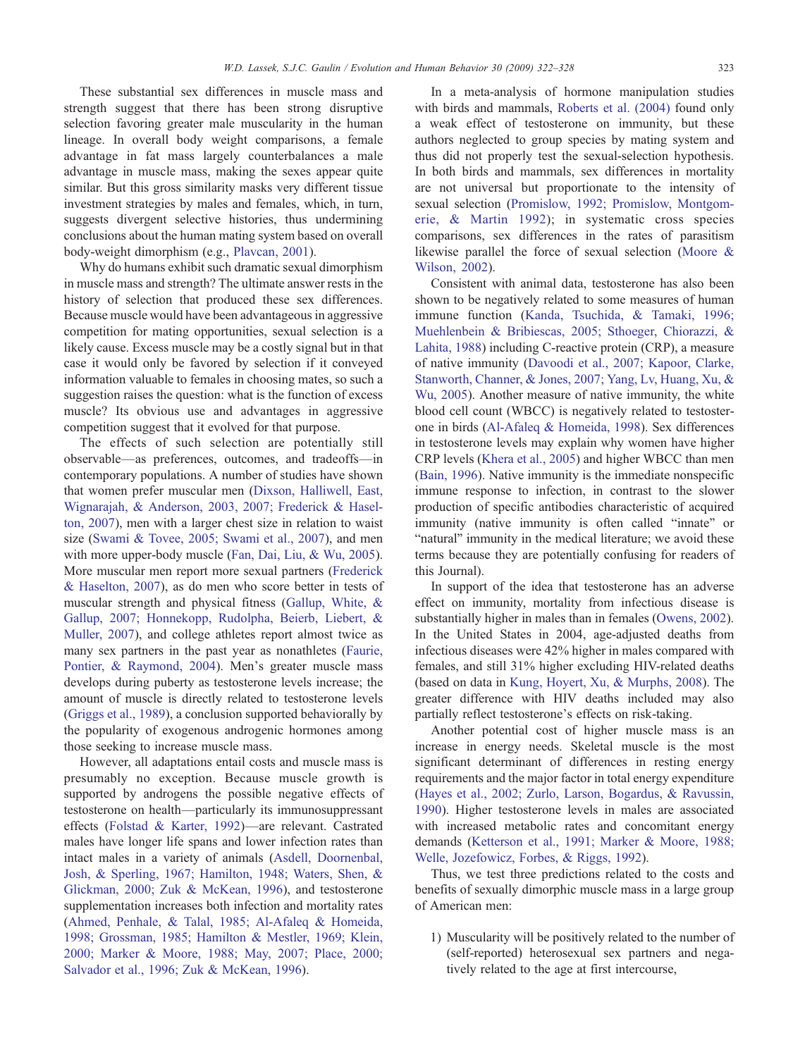These substantial sex differences in muscle mass and strength suggest that there has been strong disruptive selection favoring greater male muscularity in the human lineage. In overall body weight comparisons, a female advantage in fat mass largely counterbalances a male advantage in muscle mass, making the sexes appear quite similar. But this gross similarity masks very different tissue investment strategies by males and females, which, in turn, suggests divergent selective histories, thus undermining conclusions about the human mating system based on overall body-weight dimorphism (e.g., [Plavcan, 2001\)](#page-6-0).

Why do humans exhibit such dramatic sexual dimorphism in muscle mass and strength? The ultimate answer rests in the history of selection that produced these sex differences. Because muscle would have been advantageous in aggressive competition for mating opportunities, sexual selection is a likely cause. Excess muscle may be a costly signal but in that case it would only be favored by selection if it conveyed information valuable to females in choosing mates, so such a suggestion raises the question: what is the function of excess muscle? Its obvious use and advantages in aggressive competition suggest that it evolved for that purpose.

The effects of such selection are potentially still observable—as preferences, outcomes, and tradeoffs—in contemporary populations. A number of studies have shown that women prefer muscular men ([Dixson, Halliwell, East,](#page-5-0) [Wignarajah, & Anderson, 2003, 2007; Frederick & Hasel](#page-5-0)[ton, 2007](#page-5-0)), men with a larger chest size in relation to waist size ([Swami & Tovee, 2005; Swami et al., 2007](#page-6-0)), and men with more upper-body muscle [\(Fan, Dai, Liu, & Wu, 2005](#page-5-0)). More muscular men report more sexual partners [\(Frederick](#page-5-0) [& Haselton, 2007](#page-5-0)), as do men who score better in tests of muscular strength and physical fitness [\(Gallup, White, &](#page-5-0) [Gallup, 2007; Honnekopp, Rudolpha, Beierb, Liebert, &](#page-5-0) [Muller, 2007\)](#page-5-0), and college athletes report almost twice as many sex partners in the past year as nonathletes [\(Faurie,](#page-5-0) [Pontier, & Raymond, 2004\)](#page-5-0). Men's greater muscle mass develops during puberty as testosterone levels increase; the amount of muscle is directly related to testosterone levels [\(Griggs et al., 1989\)](#page-5-0), a conclusion supported behaviorally by the popularity of exogenous androgenic hormones among those seeking to increase muscle mass.

However, all adaptations entail costs and muscle mass is presumably no exception. Because muscle growth is supported by androgens the possible negative effects of testosterone on health—particularly its immunosuppressant effects ([Folstad & Karter, 1992](#page-5-0))—are relevant. Castrated males have longer life spans and lower infection rates than intact males in a variety of animals ([Asdell, Doornenbal,](#page-5-0) [Josh, & Sperling, 1967; Hamilton, 1948; Waters, Shen, &](#page-5-0) [Glickman, 2000; Zuk & McKean, 1996\)](#page-5-0), and testosterone supplementation increases both infection and mortality rates [\(Ahmed, Penhale, & Talal, 1985; Al-Afaleq & Homeida,](#page-5-0) [1998; Grossman, 1985; Hamilton & Mestler, 1969; Klein,](#page-5-0) [2000; Marker & Moore, 1988; May, 2007; Place, 2000;](#page-5-0) [Salvador et al., 1996; Zuk & McKean, 1996\)](#page-5-0).

In a meta-analysis of hormone manipulation studies with birds and mammals, [Roberts et al. \(2004\)](#page-6-0) found only a weak effect of testosterone on immunity, but these authors neglected to group species by mating system and thus did not properly test the sexual-selection hypothesis. In both birds and mammals, sex differences in mortality are not universal but proportionate to the intensity of sexual selection ([Promislow, 1992; Promislow, Montgom](#page-6-0)[erie, & Martin 1992](#page-6-0)); in systematic cross species comparisons, sex differences in the rates of parasitism likewise parallel the force of sexual selection ([Moore &](#page-6-0) [Wilson, 2002\)](#page-6-0).

Consistent with animal data, testosterone has also been shown to be negatively related to some measures of human immune function [\(Kanda, Tsuchida, & Tamaki, 1996;](#page-6-0) [Muehlenbein & Bribiescas, 2005; Sthoeger, Chiorazzi, &](#page-6-0) [Lahita, 1988\)](#page-6-0) including C-reactive protein (CRP), a measure of native immunity [\(Davoodi et al., 2007; Kapoor, Clarke,](#page-5-0) [Stanworth, Channer, & Jones, 2007; Yang, Lv, Huang, Xu, &](#page-5-0) [Wu, 2005](#page-5-0)). Another measure of native immunity, the white blood cell count (WBCC) is negatively related to testosterone in birds ([Al-Afaleq & Homeida, 1998\)](#page-5-0). Sex differences in testosterone levels may explain why women have higher CRP levels ([Khera et al., 2005](#page-6-0)) and higher WBCC than men [\(Bain, 1996\)](#page-5-0). Native immunity is the immediate nonspecific immune response to infection, in contrast to the slower production of specific antibodies characteristic of acquired immunity (native immunity is often called "innate" or "natural" immunity in the medical literature; we avoid these terms because they are potentially confusing for readers of this Journal).

In support of the idea that testosterone has an adverse effect on immunity, mortality from infectious disease is substantially higher in males than in females ([Owens, 2002](#page-6-0)). In the United States in 2004, age-adjusted deaths from infectious diseases were 42% higher in males compared with females, and still 31% higher excluding HIV-related deaths (based on data in [Kung, Hoyert, Xu, & Murphs, 2008](#page-6-0)). The greater difference with HIV deaths included may also partially reflect testosterone's effects on risk-taking.

Another potential cost of higher muscle mass is an increase in energy needs. Skeletal muscle is the most significant determinant of differences in resting energy requirements and the major factor in total energy expenditure [\(Hayes et al., 2002; Zurlo, Larson, Bogardus, & Ravussin,](#page-5-0) [1990\)](#page-5-0). Higher testosterone levels in males are associated with increased metabolic rates and concomitant energy demands [\(Ketterson et al., 1991; Marker & Moore, 1988;](#page-6-0) [Welle, Jozefowicz, Forbes, & Riggs, 1992\)](#page-6-0).

Thus, we test three predictions related to the costs and benefits of sexually dimorphic muscle mass in a large group of American men:

1) Muscularity will be positively related to the number of (self-reported) heterosexual sex partners and negatively related to the age at first intercourse,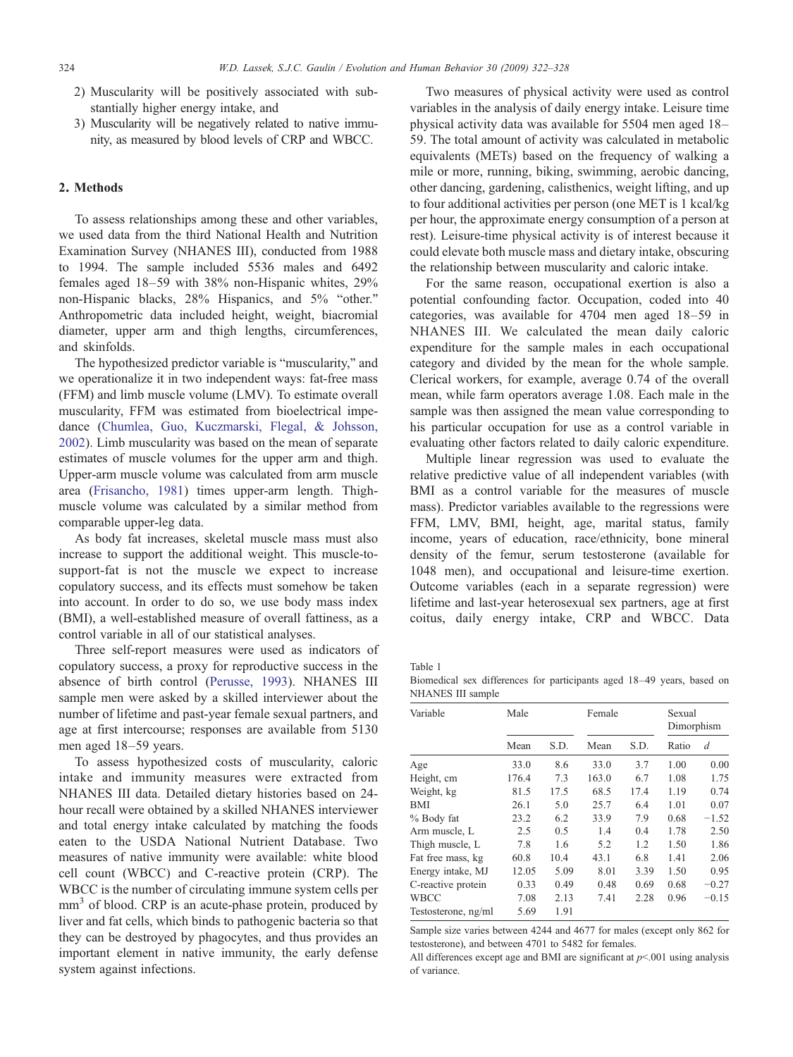- <span id="page-2-0"></span>2) Muscularity will be positively associated with substantially higher energy intake, and
- 3) Muscularity will be negatively related to native immunity, as measured by blood levels of CRP and WBCC.

## 2. Methods

To assess relationships among these and other variables, we used data from the third National Health and Nutrition Examination Survey (NHANES III), conducted from 1988 to 1994. The sample included 5536 males and 6492 females aged 18–59 with 38% non-Hispanic whites, 29% non-Hispanic blacks, 28% Hispanics, and 5% "other." Anthropometric data included height, weight, biacromial diameter, upper arm and thigh lengths, circumferences, and skinfolds.

The hypothesized predictor variable is "muscularity," and we operationalize it in two independent ways: fat-free mass (FFM) and limb muscle volume (LMV). To estimate overall muscularity, FFM was estimated from bioelectrical impedance [\(Chumlea, Guo, Kuczmarski, Flegal, & Johsson,](#page-5-0) [2002](#page-5-0)). Limb muscularity was based on the mean of separate estimates of muscle volumes for the upper arm and thigh. Upper-arm muscle volume was calculated from arm muscle area ([Frisancho, 1981\)](#page-5-0) times upper-arm length. Thighmuscle volume was calculated by a similar method from comparable upper-leg data.

As body fat increases, skeletal muscle mass must also increase to support the additional weight. This muscle-tosupport-fat is not the muscle we expect to increase copulatory success, and its effects must somehow be taken into account. In order to do so, we use body mass index (BMI), a well-established measure of overall fattiness, as a control variable in all of our statistical analyses.

Three self-report measures were used as indicators of copulatory success, a proxy for reproductive success in the absence of birth control [\(Perusse, 1993\)](#page-6-0). NHANES III sample men were asked by a skilled interviewer about the number of lifetime and past-year female sexual partners, and age at first intercourse; responses are available from 5130 men aged 18–59 years.

To assess hypothesized costs of muscularity, caloric intake and immunity measures were extracted from NHANES III data. Detailed dietary histories based on 24 hour recall were obtained by a skilled NHANES interviewer and total energy intake calculated by matching the foods eaten to the USDA National Nutrient Database. Two measures of native immunity were available: white blood cell count (WBCC) and C-reactive protein (CRP). The WBCC is the number of circulating immune system cells per mm<sup>3</sup> of blood. CRP is an acute-phase protein, produced by liver and fat cells, which binds to pathogenic bacteria so that they can be destroyed by phagocytes, and thus provides an important element in native immunity, the early defense system against infections.

Two measures of physical activity were used as control variables in the analysis of daily energy intake. Leisure time physical activity data was available for 5504 men aged 18– 59. The total amount of activity was calculated in metabolic equivalents (METs) based on the frequency of walking a mile or more, running, biking, swimming, aerobic dancing, other dancing, gardening, calisthenics, weight lifting, and up to four additional activities per person (one MET is 1 kcal/kg per hour, the approximate energy consumption of a person at rest). Leisure-time physical activity is of interest because it could elevate both muscle mass and dietary intake, obscuring the relationship between muscularity and caloric intake.

For the same reason, occupational exertion is also a potential confounding factor. Occupation, coded into 40 categories, was available for 4704 men aged 18–59 in NHANES III. We calculated the mean daily caloric expenditure for the sample males in each occupational category and divided by the mean for the whole sample. Clerical workers, for example, average 0.74 of the overall mean, while farm operators average 1.08. Each male in the sample was then assigned the mean value corresponding to his particular occupation for use as a control variable in evaluating other factors related to daily caloric expenditure.

Multiple linear regression was used to evaluate the relative predictive value of all independent variables (with BMI as a control variable for the measures of muscle mass). Predictor variables available to the regressions were FFM, LMV, BMI, height, age, marital status, family income, years of education, race/ethnicity, bone mineral density of the femur, serum testosterone (available for 1048 men), and occupational and leisure-time exertion. Outcome variables (each in a separate regression) were lifetime and last-year heterosexual sex partners, age at first coitus, daily energy intake, CRP and WBCC. Data

Table 1

Biomedical sex differences for participants aged 18–49 years, based on NHANES III sample

| Variable            | Male  |      | Female |      | Sexual<br>Dimorphism |         |
|---------------------|-------|------|--------|------|----------------------|---------|
|                     | Mean  | S.D. | Mean   | S.D. | Ratio                | d       |
| Age                 | 33.0  | 8.6  | 33.0   | 3.7  | 1.00                 | 0.00    |
| Height, cm          | 176.4 | 7.3  | 163.0  | 6.7  | 1.08                 | 1.75    |
| Weight, kg          | 81.5  | 17.5 | 68.5   | 17.4 | 1.19                 | 0.74    |
| BMI                 | 26.1  | 5.0  | 25.7   | 6.4  | 1.01                 | 0.07    |
| % Body fat          | 23.2  | 6.2  | 33.9   | 7.9  | 0.68                 | $-1.52$ |
| Arm muscle, L       | 2.5   | 0.5  | 1.4    | 0.4  | 1.78                 | 2.50    |
| Thigh muscle, L     | 7.8   | 1.6  | 5.2    | 1.2  | 1.50                 | 1.86    |
| Fat free mass, kg   | 60.8  | 10.4 | 43.1   | 6.8  | 1.41                 | 2.06    |
| Energy intake, MJ   | 12.05 | 5.09 | 8.01   | 3.39 | 1.50                 | 0.95    |
| C-reactive protein  | 0.33  | 0.49 | 0.48   | 0.69 | 0.68                 | $-0.27$ |
| <b>WBCC</b>         | 7.08  | 2.13 | 7.41   | 2.28 | 0.96                 | $-0.15$ |
| Testosterone, ng/ml | 5.69  | 1.91 |        |      |                      |         |

Sample size varies between 4244 and 4677 for males (except only 862 for testosterone), and between 4701 to 5482 for females.

All differences except age and BMI are significant at  $p<001$  using analysis of variance.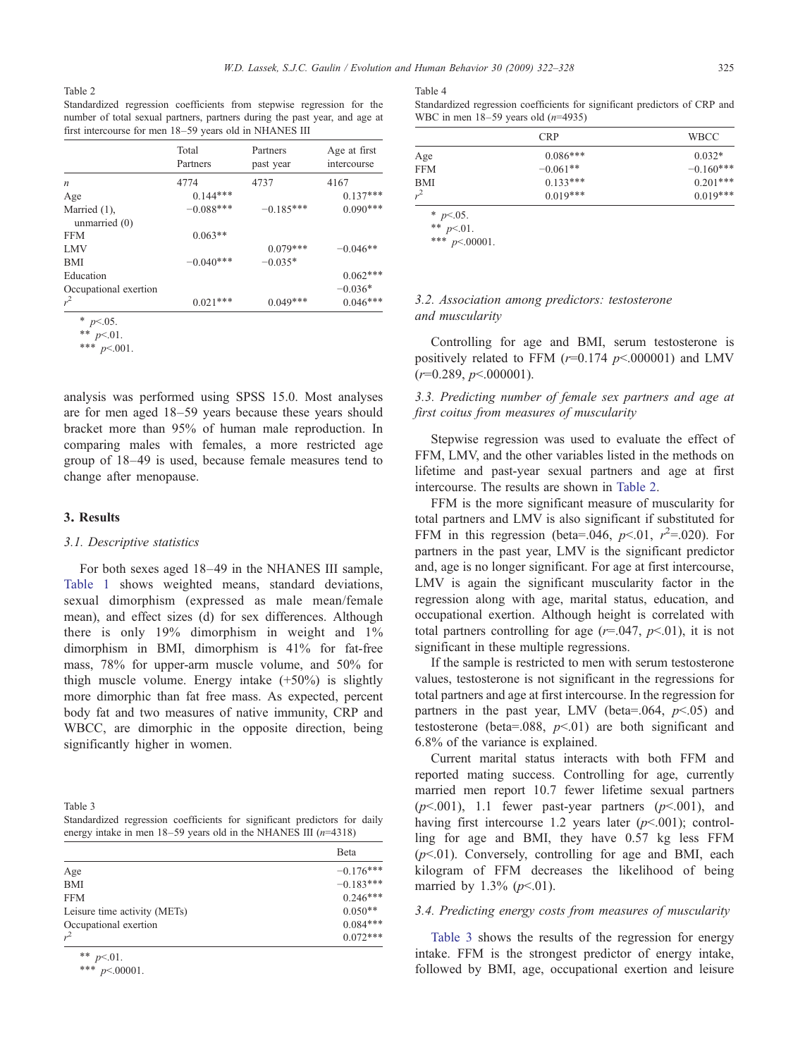<span id="page-3-0"></span>Table 2

Standardized regression coefficients from stepwise regression for the number of total sexual partners, partners during the past year, and age at first intercourse for men 18–59 years old in NHANES III

|                                 | Total<br>Partners | Partners<br>past year | Age at first<br>intercourse |
|---------------------------------|-------------------|-----------------------|-----------------------------|
| n                               | 4774              | 4737                  | 4167                        |
| Age                             | $0.144***$        |                       | $0.137***$                  |
| Married (1),<br>unmarried $(0)$ | $-0.088***$       | $-0.185***$           | $0.090***$                  |
| <b>FFM</b>                      | $0.063**$         |                       |                             |
| <b>LMV</b>                      |                   | $0.079***$            | $-0.046**$                  |
| <b>BMI</b>                      | $-0.040***$       | $-0.035*$             |                             |
| Education                       |                   |                       | $0.062***$                  |
| Occupational exertion           |                   |                       | $-0.036*$                   |
| $r^2$                           | $0.021***$        | $0.049***$            | $0.046***$                  |

 $*$  p<.05.

\*\*  $p<.01$ .

\*\*\*  $p<.001$ .

analysis was performed using SPSS 15.0. Most analyses are for men aged 18–59 years because these years should bracket more than 95% of human male reproduction. In comparing males with females, a more restricted age group of 18–49 is used, because female measures tend to change after menopause.

#### 3. Results

## 3.1. Descriptive statistics

For both sexes aged 18–49 in the NHANES III sample, [Table 1](#page-2-0) shows weighted means, standard deviations, sexual dimorphism (expressed as male mean/female mean), and effect sizes (d) for sex differences. Although there is only 19% dimorphism in weight and 1% dimorphism in BMI, dimorphism is 41% for fat-free mass, 78% for upper-arm muscle volume, and 50% for thigh muscle volume. Energy intake  $(+50%)$  is slightly more dimorphic than fat free mass. As expected, percent body fat and two measures of native immunity, CRP and WBCC, are dimorphic in the opposite direction, being significantly higher in women.

Table 3 Standardized regression coefficients for significant predictors for daily energy intake in men  $18-59$  years old in the NHANES III ( $n=4318$ )

|                              | Beta        |
|------------------------------|-------------|
| Age                          | $-0.176***$ |
| <b>BMI</b>                   | $-0.183***$ |
| <b>FFM</b>                   | $0.246***$  |
| Leisure time activity (METs) | $0.050**$   |
| Occupational exertion        | $0.084***$  |
| $r^2$                        | $0.072***$  |

\*\*  $p<.01$ .

\*\*\*  $p<.00001$ .

Table 4

Standardized regression coefficients for significant predictors of CRP and WBC in men  $18-59$  years old  $(n=4935)$ 

| <b>CRP</b> |             |
|------------|-------------|
| $0.086***$ | $0.032*$    |
| $-0.061**$ | $-0.160***$ |
| $0.133***$ | $0.201***$  |
| $0.019***$ | $0.019***$  |
|            |             |

\*  $p<.05$ . \*\*  $p<.01$ .

\*\*\*  $p<.00001$ .

## 3.2. Association among predictors: testosterone and muscularity

Controlling for age and BMI, serum testosterone is positively related to FFM ( $r=0.174$   $p<.000001$ ) and LMV  $(r=0.289, p<.000001).$ 

3.3. Predicting number of female sex partners and age at first coitus from measures of muscularity

Stepwise regression was used to evaluate the effect of FFM, LMV, and the other variables listed in the methods on lifetime and past-year sexual partners and age at first intercourse. The results are shown in Table 2.

FFM is the more significant measure of muscularity for total partners and LMV is also significant if substituted for FFM in this regression (beta=.046,  $p<.01$ ,  $r^2$ =.020). For partners in the past year, LMV is the significant predictor and, age is no longer significant. For age at first intercourse, LMV is again the significant muscularity factor in the regression along with age, marital status, education, and occupational exertion. Although height is correlated with total partners controlling for age  $(r=.047, p<.01)$ , it is not significant in these multiple regressions.

If the sample is restricted to men with serum testosterone values, testosterone is not significant in the regressions for total partners and age at first intercourse. In the regression for partners in the past year, LMV (beta=.064,  $p<0.05$ ) and testosterone (beta=.088,  $p<01$ ) are both significant and 6.8% of the variance is explained.

Current marital status interacts with both FFM and reported mating success. Controlling for age, currently married men report 10.7 fewer lifetime sexual partners  $(p<.001)$ , 1.1 fewer past-year partners  $(p<.001)$ , and having first intercourse 1.2 years later  $(p<.001)$ ; controlling for age and BMI, they have 0.57 kg less FFM  $(p<.01)$ . Conversely, controlling for age and BMI, each kilogram of FFM decreases the likelihood of being married by 1.3%  $(p<.01)$ .

## 3.4. Predicting energy costs from measures of muscularity

Table 3 shows the results of the regression for energy intake. FFM is the strongest predictor of energy intake, followed by BMI, age, occupational exertion and leisure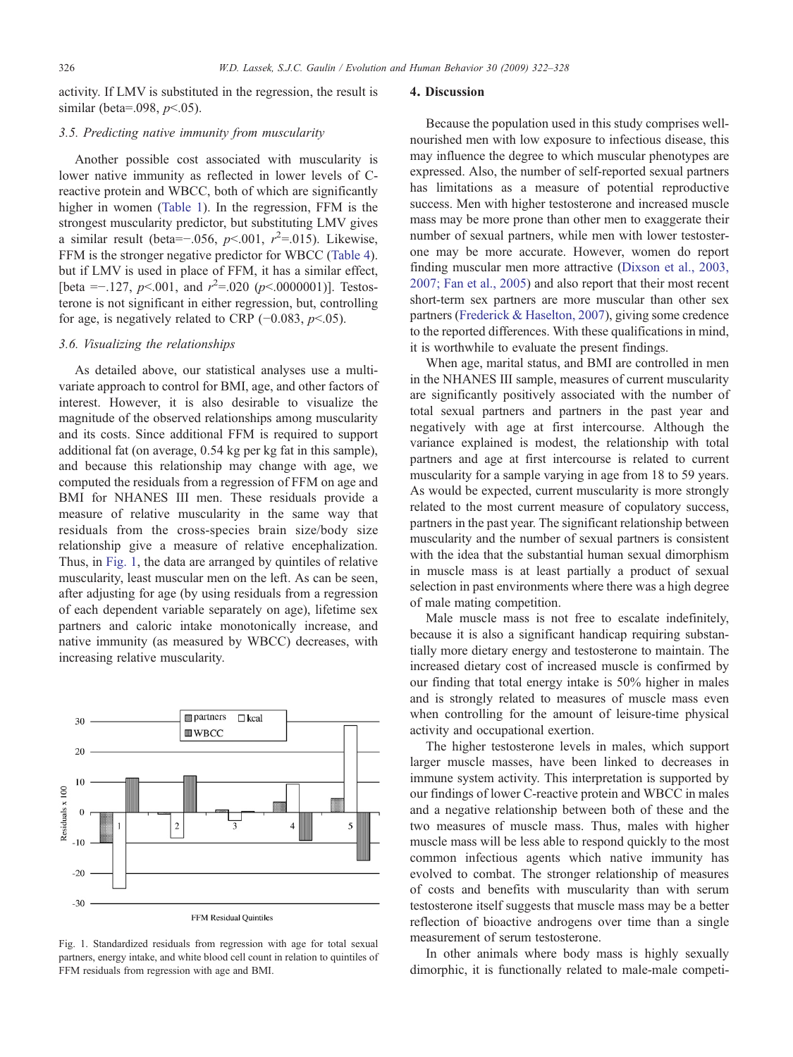activity. If LMV is substituted in the regression, the result is similar (beta=.098,  $p<.05$ ).

## 3.5. Predicting native immunity from muscularity

Another possible cost associated with muscularity is lower native immunity as reflected in lower levels of Creactive protein and WBCC, both of which are significantly higher in women [\(Table 1](#page-2-0)). In the regression, FFM is the strongest muscularity predictor, but substituting LMV gives a similar result (beta=-.056,  $p$ <.001,  $r^2$ =.015). Likewise, FFM is the stronger negative predictor for WBCC [\(Table 4](#page-3-0)). but if LMV is used in place of FFM, it has a similar effect, [beta = -.127,  $p$ <.001, and  $r^2$ =.020 ( $p$ <.0000001)]. Testosterone is not significant in either regression, but, controlling for age, is negatively related to CRP  $(-0.083, p<.05)$ .

## 3.6. Visualizing the relationships

As detailed above, our statistical analyses use a multivariate approach to control for BMI, age, and other factors of interest. However, it is also desirable to visualize the magnitude of the observed relationships among muscularity and its costs. Since additional FFM is required to support additional fat (on average, 0.54 kg per kg fat in this sample), and because this relationship may change with age, we computed the residuals from a regression of FFM on age and BMI for NHANES III men. These residuals provide a measure of relative muscularity in the same way that residuals from the cross-species brain size/body size relationship give a measure of relative encephalization. Thus, in Fig. 1, the data are arranged by quintiles of relative muscularity, least muscular men on the left. As can be seen, after adjusting for age (by using residuals from a regression of each dependent variable separately on age), lifetime sex partners and caloric intake monotonically increase, and native immunity (as measured by WBCC) decreases, with increasing relative muscularity.



Fig. 1. Standardized residuals from regression with age for total sexual partners, energy intake, and white blood cell count in relation to quintiles of FFM residuals from regression with age and BMI.

#### 4. Discussion

Because the population used in this study comprises wellnourished men with low exposure to infectious disease, this may influence the degree to which muscular phenotypes are expressed. Also, the number of self-reported sexual partners has limitations as a measure of potential reproductive success. Men with higher testosterone and increased muscle mass may be more prone than other men to exaggerate their number of sexual partners, while men with lower testosterone may be more accurate. However, women do report finding muscular men more attractive ([Dixson et al., 2003,](#page-5-0) [2007; Fan et al., 2005](#page-5-0)) and also report that their most recent short-term sex partners are more muscular than other sex partners ([Frederick & Haselton, 2007](#page-5-0)), giving some credence to the reported differences. With these qualifications in mind, it is worthwhile to evaluate the present findings.

When age, marital status, and BMI are controlled in men in the NHANES III sample, measures of current muscularity are significantly positively associated with the number of total sexual partners and partners in the past year and negatively with age at first intercourse. Although the variance explained is modest, the relationship with total partners and age at first intercourse is related to current muscularity for a sample varying in age from 18 to 59 years. As would be expected, current muscularity is more strongly related to the most current measure of copulatory success, partners in the past year. The significant relationship between muscularity and the number of sexual partners is consistent with the idea that the substantial human sexual dimorphism in muscle mass is at least partially a product of sexual selection in past environments where there was a high degree of male mating competition.

Male muscle mass is not free to escalate indefinitely, because it is also a significant handicap requiring substantially more dietary energy and testosterone to maintain. The increased dietary cost of increased muscle is confirmed by our finding that total energy intake is 50% higher in males and is strongly related to measures of muscle mass even when controlling for the amount of leisure-time physical activity and occupational exertion.

The higher testosterone levels in males, which support larger muscle masses, have been linked to decreases in immune system activity. This interpretation is supported by our findings of lower C-reactive protein and WBCC in males and a negative relationship between both of these and the two measures of muscle mass. Thus, males with higher muscle mass will be less able to respond quickly to the most common infectious agents which native immunity has evolved to combat. The stronger relationship of measures of costs and benefits with muscularity than with serum testosterone itself suggests that muscle mass may be a better reflection of bioactive androgens over time than a single measurement of serum testosterone.

In other animals where body mass is highly sexually dimorphic, it is functionally related to male-male competi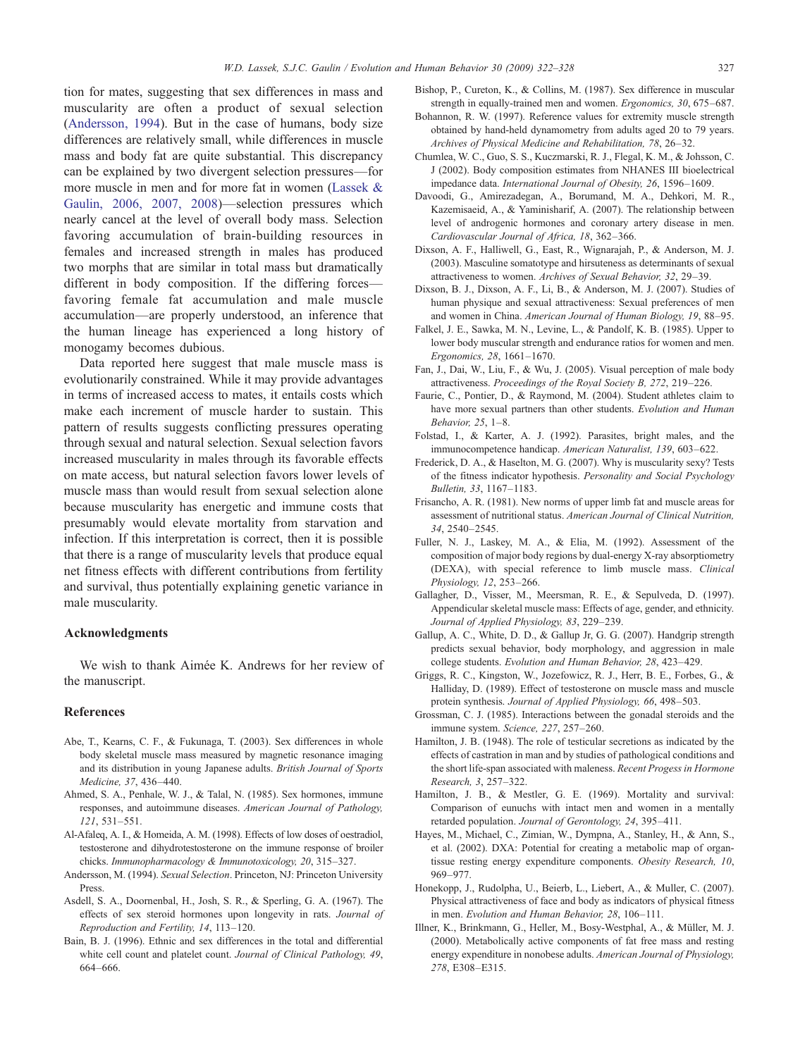<span id="page-5-0"></span>tion for mates, suggesting that sex differences in mass and muscularity are often a product of sexual selection (Andersson, 1994). But in the case of humans, body size differences are relatively small, while differences in muscle mass and body fat are quite substantial. This discrepancy can be explained by two divergent selection pressures—for more muscle in men and for more fat in women ([Lassek &](#page-6-0) [Gaulin, 2006, 2007, 2008](#page-6-0))—selection pressures which nearly cancel at the level of overall body mass. Selection favoring accumulation of brain-building resources in females and increased strength in males has produced two morphs that are similar in total mass but dramatically different in body composition. If the differing forces favoring female fat accumulation and male muscle accumulation—are properly understood, an inference that the human lineage has experienced a long history of monogamy becomes dubious.

Data reported here suggest that male muscle mass is evolutionarily constrained. While it may provide advantages in terms of increased access to mates, it entails costs which make each increment of muscle harder to sustain. This pattern of results suggests conflicting pressures operating through sexual and natural selection. Sexual selection favors increased muscularity in males through its favorable effects on mate access, but natural selection favors lower levels of muscle mass than would result from sexual selection alone because muscularity has energetic and immune costs that presumably would elevate mortality from starvation and infection. If this interpretation is correct, then it is possible that there is a range of muscularity levels that produce equal net fitness effects with different contributions from fertility and survival, thus potentially explaining genetic variance in male muscularity.

#### Acknowledgments

We wish to thank Aimée K. Andrews for her review of the manuscript.

#### References

- Abe, T., Kearns, C. F., & Fukunaga, T. (2003). Sex differences in whole body skeletal muscle mass measured by magnetic resonance imaging and its distribution in young Japanese adults. British Journal of Sports Medicine, 37, 436–440.
- Ahmed, S. A., Penhale, W. J., & Talal, N. (1985). Sex hormones, immune responses, and autoimmune diseases. American Journal of Pathology, 121, 531–551.
- Al-Afaleq, A. I., & Homeida, A. M. (1998). Effects of low doses of oestradiol, testosterone and dihydrotestosterone on the immune response of broiler chicks. Immunopharmacology & Immunotoxicology, 20, 315–327.
- Andersson, M. (1994). Sexual Selection. Princeton, NJ: Princeton University Press.
- Asdell, S. A., Doornenbal, H., Josh, S. R., & Sperling, G. A. (1967). The effects of sex steroid hormones upon longevity in rats. Journal of Reproduction and Fertility, 14, 113–120.
- Bain, B. J. (1996). Ethnic and sex differences in the total and differential white cell count and platelet count. Journal of Clinical Pathology, 49, 664–666.
- Bishop, P., Cureton, K., & Collins, M. (1987). Sex difference in muscular strength in equally-trained men and women. Ergonomics, 30, 675–687.
- Bohannon, R. W. (1997). Reference values for extremity muscle strength obtained by hand-held dynamometry from adults aged 20 to 79 years. Archives of Physical Medicine and Rehabilitation, 78, 26–32.
- Chumlea, W. C., Guo, S. S., Kuczmarski, R. J., Flegal, K. M., & Johsson, C. J (2002). Body composition estimates from NHANES III bioelectrical impedance data. International Journal of Obesity, 26, 1596–1609.
- Davoodi, G., Amirezadegan, A., Borumand, M. A., Dehkori, M. R., Kazemisaeid, A., & Yaminisharif, A. (2007). The relationship between level of androgenic hormones and coronary artery disease in men. Cardiovascular Journal of Africa, 18, 362–366.
- Dixson, A. F., Halliwell, G., East, R., Wignarajah, P., & Anderson, M. J. (2003). Masculine somatotype and hirsuteness as determinants of sexual attractiveness to women. Archives of Sexual Behavior, 32, 29–39.
- Dixson, B. J., Dixson, A. F., Li, B., & Anderson, M. J. (2007). Studies of human physique and sexual attractiveness: Sexual preferences of men and women in China. American Journal of Human Biology, 19, 88–95.
- Falkel, J. E., Sawka, M. N., Levine, L., & Pandolf, K. B. (1985). Upper to lower body muscular strength and endurance ratios for women and men. Ergonomics, 28, 1661–1670.
- Fan, J., Dai, W., Liu, F., & Wu, J. (2005). Visual perception of male body attractiveness. Proceedings of the Royal Society B, 272, 219–226.
- Faurie, C., Pontier, D., & Raymond, M. (2004). Student athletes claim to have more sexual partners than other students. Evolution and Human Behavior, 25, 1–8.
- Folstad, I., & Karter, A. J. (1992). Parasites, bright males, and the immunocompetence handicap. American Naturalist, 139, 603–622.
- Frederick, D. A., & Haselton, M. G. (2007). Why is muscularity sexy? Tests of the fitness indicator hypothesis. Personality and Social Psychology Bulletin, 33, 1167–1183.
- Frisancho, A. R. (1981). New norms of upper limb fat and muscle areas for assessment of nutritional status. American Journal of Clinical Nutrition, 34, 2540–2545.
- Fuller, N. J., Laskey, M. A., & Elia, M. (1992). Assessment of the composition of major body regions by dual-energy X-ray absorptiometry (DEXA), with special reference to limb muscle mass. Clinical Physiology, 12, 253–266.
- Gallagher, D., Visser, M., Meersman, R. E., & Sepulveda, D. (1997). Appendicular skeletal muscle mass: Effects of age, gender, and ethnicity. Journal of Applied Physiology, 83, 229–239.
- Gallup, A. C., White, D. D., & Gallup Jr, G. G. (2007). Handgrip strength predicts sexual behavior, body morphology, and aggression in male college students. Evolution and Human Behavior, 28, 423–429.
- Griggs, R. C., Kingston, W., Jozefowicz, R. J., Herr, B. E., Forbes, G., & Halliday, D. (1989). Effect of testosterone on muscle mass and muscle protein synthesis. Journal of Applied Physiology, 66, 498–503.
- Grossman, C. J. (1985). Interactions between the gonadal steroids and the immune system. Science, 227, 257–260.
- Hamilton, J. B. (1948). The role of testicular secretions as indicated by the effects of castration in man and by studies of pathological conditions and the short life-span associated with maleness. Recent Progess in Hormone Research, 3, 257–322.
- Hamilton, J. B., & Mestler, G. E. (1969). Mortality and survival: Comparison of eunuchs with intact men and women in a mentally retarded population. Journal of Gerontology, 24, 395–411.
- Hayes, M., Michael, C., Zimian, W., Dympna, A., Stanley, H., & Ann, S., et al. (2002). DXA: Potential for creating a metabolic map of organtissue resting energy expenditure components. Obesity Research, 10, 969–977.
- Honekopp, J., Rudolpha, U., Beierb, L., Liebert, A., & Muller, C. (2007). Physical attractiveness of face and body as indicators of physical fitness in men. Evolution and Human Behavior, 28, 106–111.
- Illner, K., Brinkmann, G., Heller, M., Bosy-Westphal, A., & Müller, M. J. (2000). Metabolically active components of fat free mass and resting energy expenditure in nonobese adults. American Journal of Physiology, 278, E308–E315.